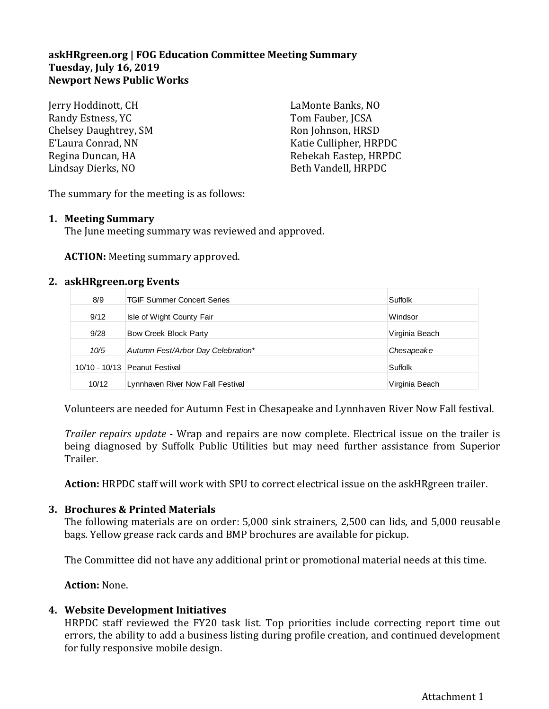## **askHRgreen.org | FOG Education Committee Meeting Summary Tuesday, July 16, 2019 Newport News Public Works**

Jerry Hoddinott, CH Randy Estness, YC Chelsey Daughtrey, SM E'Laura Conrad, NN Regina Duncan, HA Lindsay Dierks, NO

LaMonte Banks, NO Tom Fauber, JCSA Ron Johnson, HRSD Katie Cullipher, HRPDC Rebekah Eastep, HRPDC Beth Vandell, HRPDC

The summary for the meeting is as follows:

### **1. Meeting Summary**

The June meeting summary was reviewed and approved.

**ACTION:** Meeting summary approved.

#### **2. askHRgreen.org Events**

| $\bf{u}$ . $\bf{v}$ is the component of $\bf{v}$ approved. |                                    |                |
|------------------------------------------------------------|------------------------------------|----------------|
| <b>iskHRgreen.org Events</b>                               |                                    |                |
| 8/9                                                        | <b>TGIF Summer Concert Series</b>  | Suffolk        |
| 9/12                                                       | Isle of Wight County Fair          | Windsor        |
| 9/28                                                       | Bow Creek Block Party              | Virginia Beach |
| 10/5                                                       | Autumn Fest/Arbor Day Celebration* | Chesapeake     |
|                                                            | 10/10 - 10/13 Peanut Festival      | Suffolk        |
| 10/12                                                      | Lynnhaven River Now Fall Festival  | Virginia Beach |

Volunteers are needed for Autumn Fest in Chesapeake and Lynnhaven River Now Fall festival.

*Trailer repairs update* - Wrap and repairs are now complete. Electrical issue on the trailer is being diagnosed by Suffolk Public Utilities but may need further assistance from Superior Trailer.

**Action:** HRPDC staff will work with SPU to correct electrical issue on the askHRgreen trailer.

### **3. Brochures & Printed Materials**

The following materials are on order: 5,000 sink strainers, 2,500 can lids, and 5,000 reusable bags. Yellow grease rack cards and BMP brochures are available for pickup.

The Committee did not have any additional print or promotional material needs at this time.

**Action:** None.

### **4. Website Development Initiatives**

HRPDC staff reviewed the FY20 task list. Top priorities include correcting report time out errors, the ability to add a business listing during profile creation, and continued development for fully responsive mobile design.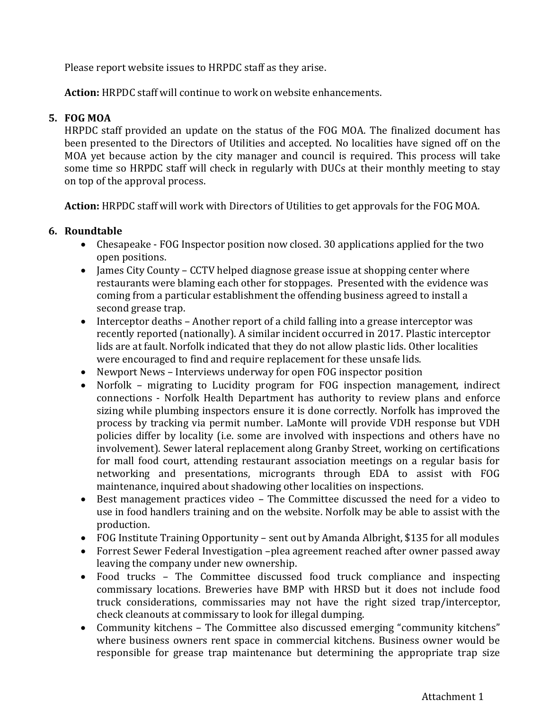Please report website issues to HRPDC staff as they arise.

**Action:** HRPDC staff will continue to work on website enhancements.

# **5. FOG MOA**

HRPDC staff provided an update on the status of the FOG MOA. The finalized document has been presented to the Directors of Utilities and accepted. No localities have signed off on the MOA yet because action by the city manager and council is required. This process will take some time so HRPDC staff will check in regularly with DUCs at their monthly meeting to stay on top of the approval process.

**Action:** HRPDC staff will work with Directors of Utilities to get approvals for the FOG MOA.

# **6. Roundtable**

- Chesapeake FOG Inspector position now closed. 30 applications applied for the two open positions.
- James City County CCTV helped diagnose grease issue at shopping center where restaurants were blaming each other for stoppages. Presented with the evidence was coming from a particular establishment the offending business agreed to install a second grease trap.
- Interceptor deaths Another report of a child falling into a grease interceptor was recently reported (nationally). A similar incident occurred in 2017. Plastic interceptor lids are at fault. Norfolk indicated that they do not allow plastic lids. Other localities were encouraged to find and require replacement for these unsafe lids.
- Newport News Interviews underway for open FOG inspector position
- Norfolk migrating to Lucidity program for FOG inspection management, indirect connections - Norfolk Health Department has authority to review plans and enforce sizing while plumbing inspectors ensure it is done correctly. Norfolk has improved the process by tracking via permit number. LaMonte will provide VDH response but VDH policies differ by locality (i.e. some are involved with inspections and others have no involvement). Sewer lateral replacement along Granby Street, working on certifications for mall food court, attending restaurant association meetings on a regular basis for networking and presentations, microgrants through EDA to assist with FOG maintenance, inquired about shadowing other localities on inspections.
- Best management practices video The Committee discussed the need for a video to use in food handlers training and on the website. Norfolk may be able to assist with the production.
- FOG Institute Training Opportunity sent out by Amanda Albright, \$135 for all modules
- Forrest Sewer Federal Investigation –plea agreement reached after owner passed away leaving the company under new ownership.
- Food trucks The Committee discussed food truck compliance and inspecting commissary locations. Breweries have BMP with HRSD but it does not include food truck considerations, commissaries may not have the right sized trap/interceptor, check cleanouts at commissary to look for illegal dumping.
- Community kitchens The Committee also discussed emerging "community kitchens" where business owners rent space in commercial kitchens. Business owner would be responsible for grease trap maintenance but determining the appropriate trap size